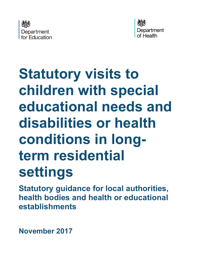



# **Statutory visits to children with special educational needs and disabilities or health conditions in longterm residential settings**

**Statutory guidance for local authorities, health bodies and health or educational establishments**

**November 2017**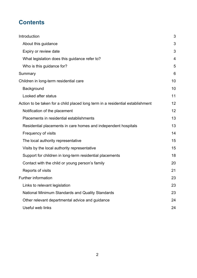# **Contents**

| Introduction                                                                   | 3              |
|--------------------------------------------------------------------------------|----------------|
| About this guidance                                                            | 3              |
| Expiry or review date                                                          | 3              |
| What legislation does this guidance refer to?                                  | $\overline{4}$ |
| Who is this guidance for?                                                      | 5              |
| Summary                                                                        | 6              |
| Children in long-term residential care                                         | 10             |
| Background                                                                     | 10             |
| Looked after status                                                            | 11             |
| Action to be taken for a child placed long term in a residential establishment | 12             |
| Notification of the placement                                                  | 12             |
| Placements in residential establishments                                       | 13             |
| Residential placements in care homes and independent hospitals                 | 13             |
| Frequency of visits                                                            | 14             |
| The local authority representative                                             | 15             |
| Visits by the local authority representative                                   |                |
| Support for children in long-term residential placements                       |                |
| Contact with the child or young person's family                                |                |
| Reports of visits                                                              | 21             |
| <b>Further information</b>                                                     | 23             |
| Links to relevant legislation                                                  | 23             |
| National Minimum Standards and Quality Standards                               | 23             |
| Other relevant departmental advice and guidance                                | 24             |
| Useful web links                                                               | 24             |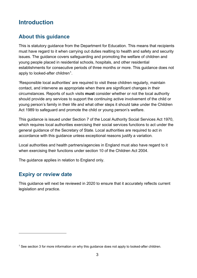## <span id="page-2-0"></span>**Introduction**

#### <span id="page-2-1"></span>**About this guidance**

This is statutory guidance from the Department for Education. This means that recipients must have regard to it when carrying out duties realting to health and safety and security issues. The guidance covers safeguarding and promoting the welfare of children and young people placed in residential schools, hospitals, and other residential establishments for consecutive periods of three months or more. This guidance does not apply to looked-after children<sup>1</sup>.

'Responsible local authorities' are required to visit these children regularly, maintain contact, and intervene as appropriate when there are significant changes in their circumstances. Reports of such visits **must** consider whether or not the local authority should provide any services to support the continuing active involvement of the child or young person's family in their life and what other steps it should take under the Children Act 1989 to safeguard and promote the child or young person's welfare.

This guidance is issued under Section 7 of the Local Authority Social Services Act 1970, which requires local authorities exercising their social services functions to act under the general guidance of the Secretary of State. Local authorities are required to act in accordance with this guidance unless exceptional reasons justify a variation.

Local authorities and health partners/agencies in England must also have regard to it when exercising their functions under section 10 of the Children Act 2004.

The guidance applies in relation to England only.

#### <span id="page-2-2"></span>**Expiry or review date**

 $\overline{a}$ 

This guidance will next be reviewed in 2020 to ensure that it accurately reflects current legislation and practice.

<span id="page-2-3"></span><sup>&</sup>lt;sup>1</sup> See section 3 for more information on why this guidance does not apply to looked-after children.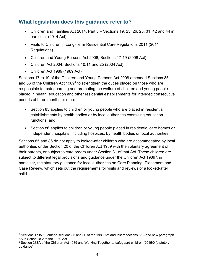#### <span id="page-3-0"></span>**What legislation does this guidance refer to?**

- Children and Families Act 2014, Part 3 Sections 19, 25, 26, 28, 31, 42 and 44 in particular (2014 Act)
- Visits to Children in Long-Term Residential Care Regulations 2011 (2011 Regulations)
- Children and Young Persons Act 2008, Sections 17-19 (2008 Act)
- Children Act 2004, Sections 10,11 and 25 (2004 Act)
- Children Act 1989 (1989 Act)

 $\overline{a}$ 

Sections 17 to 19 of the Children and Young Persons Act 2008 amended Sections 85 and 86 of the Children Act 1989<sup>[2](#page-3-1)</sup> to strengthen the duties placed on those who are responsible for safeguarding and promoting the welfare of children and young people placed in health, education and other residential establishments for intended consecutive periods of three months or more:

- Section 85 applies to children or young people who are placed in residential establishments by health bodies or by local authorities exercising education functions; and
- Section 86 applies to children or young people placed in residential care homes or independent hospitals, including hospices, by health bodies or local authorities.

Sections 85 and 86 do not apply to looked-after children who are accommodated by local authorities under Section 20 of the Children Act 1989 with the voluntary agreement of their parents, or subject to care orders under Section 31 of that Act. These children are subject to different legal provisions and guidance under the Children Act 1989<sup>[3](#page-3-2)</sup>, in particular, the statutory guidance for local authorities on Care Planning, Placement and Case Review, which sets out the requirements for visits and reviews of a looked-after child.

<span id="page-3-1"></span><sup>&</sup>lt;sup>2</sup> Sections 17 to 19 amend sections 85 and 86 of the 1989 Act and insert sections 86A and new paragraph 8A in Schedule 2 to the 1989 Act.

<span id="page-3-2"></span><sup>&</sup>lt;sup>3</sup> Section 23ZA of the Children Act 1989 and Working Together to safeguard children (2015\0 (statutory guidance)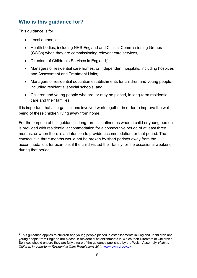#### <span id="page-4-0"></span>**Who is this guidance for?**

This guidance is for

 $\overline{a}$ 

- Local authorities;
- Health bodies, including NHS England and Clinical Commissioning Groups (CCGs) when they are commissioning relevant care services*;*
- Directors of Children's Services in England;<sup>[4](#page-4-1)</sup>
- Managers of residential care homes, or independent hospitals, including hospices and Assessment and Treatment Units*;*
- Managers of residential education establishments for children and young people, including residential special schools; and
- Children and young people who are, or may be placed, in long-term residential care and their families.

It is important that all organisations involved work together in order to improve the wellbeing of these children living away from home.

For the purpose of this guidance, 'long-term' is defined as when a child or young person is provided with residential accommodation for a consecutive period of at least three months, or when there is an intention to provide accommodation for that period. The consecutive three months would not be broken by short periods away from the accommodation, for example, if the child visited their family for the occasional weekend during that period.

<span id="page-4-1"></span><sup>4</sup> This guidance applies to children and young people placed in establishments in England. If children and young people from England are placed in residential establishments in Wales then Directors of Children's Services should ensure they are fully aware of the guidance published by the Welsh Assembly *Visits to Children in Long-term Residential Care Regulations 2011* [www.cymru.gov.uk](http://www.cymru.gov.uk/)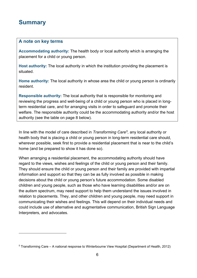### <span id="page-5-0"></span>**Summary**

 $\overline{a}$ 

#### **A note on key terms**

**Accommodating authority:** The health body or local authority which is arranging the placement for a child or young person.

**Host authority:** The local authority in which the institution providing the placement is situated.

**Home authority:** The local authority in whose area the child or young person is ordinarily resident.

**Responsible authority:** The local authority that is responsible for monitoring and reviewing the progress and well-being of a child or young person who is placed in longterm residential care, and for arranging visits in order to safeguard and promote their welfare. The responsible authority could be the accommodating authority and/or the host authority (see the table on page 8 below).

In line with the model of care described in *Transforming Care[5,](#page-5-1)* any local authority or health body that is placing a child or young person in long-term residential care should, wherever possible, seek first to provide a residential placement that is near to the child's home (and be prepared to show it has done so).

When arranging a residential placement, the accommodating authority should have regard to the views, wishes and feelings of the child or young person and their family. They should ensure the child or young person and their family are provided with impartial information and support so that they can be as fully involved as possible in making decisions about the child or young person's future accommodation. Some disabled children and young people, such as those who have learning disabilities and/or are on the autism spectrum, may need support to help them understand the issues involved in relation to placements. They, and other children and young people, may need support in communicating their wishes and feelings. This will depend on their individual needs and could include use of alternative and augmentative communication, British Sign Language Interpreters, and advocates.

<span id="page-5-1"></span><sup>5</sup> Transforming Care – A national response to Winterbourne View Hospital (Department of Health, 2012)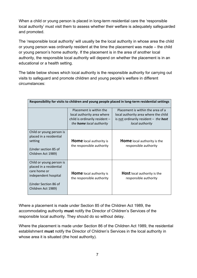When a child or young person is placed in long-term residential care the 'responsible local authority' must visit them to assess whether their welfare is adequately safeguarded and promoted.

The 'responsible local authority' will usually be the local authority in whose area the child or young person was ordinarily resident at the time the placement was made – the child or young person's home authority. If the placement is in the area of another local authority, the responsible local authority will depend on whether the placement is in an educational or a health setting.

The table below shows which local authority is the responsible authority for carrying out visits to safeguard and promote children and young people's welfare in different circumstances:

| Responsibility for visits to children and young people placed in long-term residential settings                                           |                                                                                                                            |                                                                                                                                                |  |
|-------------------------------------------------------------------------------------------------------------------------------------------|----------------------------------------------------------------------------------------------------------------------------|------------------------------------------------------------------------------------------------------------------------------------------------|--|
|                                                                                                                                           |                                                                                                                            |                                                                                                                                                |  |
|                                                                                                                                           | Placement is within the<br>local authority area where<br>child is ordinarily resident -<br>the <b>home</b> local authority | Placement is within the area of a<br>local authority area where the child<br>is not ordinarily resident $-$ the <b>host</b><br>local authority |  |
| Child or young person is<br>placed in a residential<br>setting<br>(Under section 85 of<br>Children Act 1989)                              | <b>Home</b> local authority is<br>the responsible authority                                                                | <b>Home</b> local authority is the<br>responsible authority                                                                                    |  |
| Child or young person is<br>placed in a residential<br>care home or<br>independent hospital<br>(Under Section 86 of<br>Children Act 1989) | <b>Home</b> local authority is<br>the responsible authority                                                                | <b>Host</b> local authority is the<br>responsible authority                                                                                    |  |

Where a placement is made under Section 85 of the Children Act 1989, the accommodating authority **must** notify the Director of Children's Services of the responsible local authority. They should do so without delay.

Where the placement is made under Section 86 of the Children Act 1989, the residential establishment **must** notify the Director of Children's Services in the local authority in whose area it is situated (the host authority).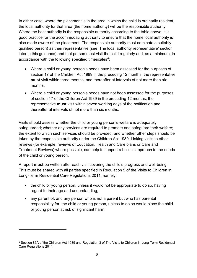In either case, where the placement is in the area in which the child is ordinarily resident, the local authority for that area (the home authority) will be the responsible authority. Where the host authority is the responsible authority according to the table above, it is good practice for the accommodating authority to ensure that the home local authority is also made aware of the placement. The responsible authority must nominate a suitably qualified person) as their representative (see 'The local authority representative' section later in this guidance) and that person must visit the child regularly and, as a minimum, in accordance with the following specified timescales $6$ :

- Where a child or young person's needs have been assessed for the purposes of section 17 of the Children Act 1989 in the preceding 12 months, the representative **must** visit within three months, and thereafter at intervals of not more than six months.
- Where a child or young person's needs have not been assessed for the purposes of section 17 of the Children Act 1989 in the preceding 12 months, the representative **must** visit within seven working days of the notification and thereafter at intervals of not more than six months.

Visits should assess whether the child or young person's welfare is adequately safeguarded; whether any services are required to promote and safeguard their welfare; the extent to which such services should be provided; and whether other steps should be taken by the responsible authority under the Children Act 1989. Linking visits to other reviews (for example, reviews of Education, Health and Care plans or Care and Treatment Reviews) where possible, can help to support a holistic approach to the needs of the child or young person.

A report **must** be written after each visit covering the child's progress and well-being. This must be shared with all parties specified in Regulation 5 of the Visits to Children in Long-Term Residential Care Regulations 2011, namely:

- the child or young person, unless it would not be appropriate to do so, having regard to their age and understanding;
- any parent of, and any person who is not a parent but who has parental responsibility for, the child or young person, unless to do so would place the child or young person at risk of significant harm;

<span id="page-7-0"></span><sup>6</sup> Section 86A of the Children Act 1989 and Regulation 3 of The Visits to Children in Long-Term Residential Care Regulations 2011: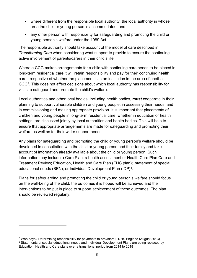- where different from the responsible local authority, the local authority in whose area the child or young person is accommodated; and
- any other person with responsibility for safeguarding and promoting the child or young person's welfare under the 1989 Act.

The responsible authority should take account of the model of care described in *Transforming Care* when considering what support to provide to ensure the continuing active involvement of parents/carers in their child's life.

Where a CCG makes arrangements for a child with continuing care needs to be placed in long-term residential care it will retain responsibility and pay for their continuing health care irrespective of whether the placement is in an institution in the area of another CCG[7](#page-8-0). This does not affect decisions about which local authority has responsibility for visits to safeguard and promote the child's welfare.

Local authorities and other local bodies, including health bodies, **must** cooperate in their planning to support vulnerable children and young people, in assessing their needs, and in commissioning and making appropriate provision. It is important that placements of children and young people in long-term residential care, whether in education or health settings, are discussed jointly by local authorities and health bodies. This will help to ensure that appropriate arrangements are made for safeguarding and promoting their welfare as well as for their wider support needs.

Any plans for safeguarding and promoting the child or young person's welfare should be developed in consultation with the child or young person and their family and take account of information already available about the child or young person. Such information may include a Care Plan; a health assessment or Health Care Plan Care and Treatment Review; Education, Health and Care Plan (EHC plan); statement of special educational needs (SEN); or Individual Development Plan (IDP)<sup>[8](#page-8-1)</sup>.

Plans for safeguarding and promoting the child or young person's welfare should focus on the well-being of the child, the outcomes it is hoped will be achieved and the interventions to be put in place to support achievement of these outcomes. The plan should be reviewed regularly.

<span id="page-8-1"></span><span id="page-8-0"></span><sup>7</sup> Who pays? Determining responsibility for payments to providers? NHS England (August 2013) <sup>8</sup> Statements of special educational needs and Individual Development Plans are being replaced by Education, Health and Care plans over a transitional period from 2014 to 2018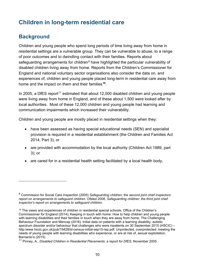# <span id="page-9-0"></span>**Children in long-term residential care**

#### <span id="page-9-1"></span>**Background**

 $\overline{a}$ 

Children and young people who spend long periods of time living away from home in residential settings are a vulnerable group. They can be vulnerable to abuse, to a range of poor outcomes and to dwindling contact with their families. Reports about safeguarding arrangements for children<sup>[9](#page-9-2)</sup> have highlighted the particular vulnerability of disabled children living away from home. Reports from the Children's Commissioner for England and national voluntary sector organisations also consider the data on, and experiences of, children and young people placed long-term in residential care away from home and the impact on them and their families**[10](#page-9-3)**.

In 2005, a DfES report<sup>[11](#page-9-4)</sup> estimated that about 12,000 disabled children and young people were living away from home in England, and of these about 1,500 were looked after by local authorities. Most of these 12,000 children and young people had learning and communication impairments which increased their vulnerability.

Children and young people are mostly placed in residential settings when they:

- have been assessed as having special educational needs (SEN) and specialist provision is required in a residential establishment (the Children and Families Act 2014, Part 3); or
- are provided with accommodation by the local authority (Children Act 1989, part 3); or
- are cared for in a residential health setting facilitated by a local health body**.**

<span id="page-9-2"></span><sup>9</sup> Commission for Social Care Inspection (2005) *Safeguarding children; the second joint chief inspectors report on arrangements to safeguard children*. Ofsted 2008, *Safeguarding children: the third joint chief inspector's report on arrangements to safeguard children*.

<span id="page-9-3"></span><sup>&</sup>lt;sup>10</sup> The views and experiences of children in residential special schools, Office of the Children's Commissioner for England (2014); Keeping in touch with home: How to help children and young people with learning disabilities and their families in touch when they are away from home, The Challenging Behaviour Foundation and Mencap (2016); Initial data on patients with a learning disability, autistic spectrum disorder and/or behaviour that challenges who were inpatients on 30 September 2015 (HSCIC) – http:/www.hscic.gov.uk/pub/19428/ld-census-initial-sep15-rep.pdf; Unprotected, overprotected: meeting the needs of young people with learning disabilities who experience, or are at risk of, sexual exploitation, Barnardo's (2015)

<span id="page-9-4"></span><sup>11</sup> Pinney, A., *Disabled Children in Residential Placements; a report for DfES*, November 2005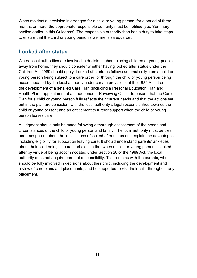When residential provision is arranged for a child or young person, for a period of three months or more, the appropriate responsible authority must be notified (see Summary section earlier in this Guidance). The responsible authority then has a duty to take steps to ensure that the child or young person's welfare is safeguarded.

#### <span id="page-10-0"></span>**Looked after status**

Where local authorities are involved in decisions about placing children or young people away from home, they should consider whether having looked after status under the Children Act 1989 should apply. Looked after status follows automatically from a child or young person being subject to a care order, or through the child or young person being accommodated by the local authority under certain provisions of the 1989 Act. It entails the development of a detailed Care Plan (including a Personal Education Plan and Health Plan); appointment of an Independent Reviewing Officer to ensure that the Care Plan for a child or young person fully reflects their current needs and that the actions set out in the plan are consistent with the local authority's legal responsibilities towards the child or young person; and an entitlement to further support when the child or young person leaves care.

A judgment should only be made following a thorough assessment of the needs and circumstances of the child or young person and family. The local authority must be clear and transparent about the implications of looked after status and explain the advantages, including eligibility for support on leaving care. It should understand parents' anxieties about their child being 'in care' and explain that when a child or young person is looked after by virtue of being accommodated under Section 20 of the 1989 Act, the local authority does not acquire parental responsibility. This remains with the parents, who should be fully involved in decisions about their child, including the development and review of care plans and placements, and be supported to visit their child throughout any placement.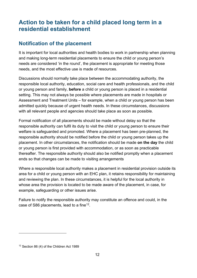# <span id="page-11-0"></span>**Action to be taken for a child placed long term in a residential establishment**

#### <span id="page-11-1"></span>**Notification of the placement**

It is important for local authorities and health bodies to work in partnership when planning and making long-term residential placements to ensure the child or young person's needs are considered 'in the round', the placement is appropriate for meeting those needs, and the most effective use is made of resources.

Discussions should normally take place between the accommodating authority, the responsible local authority, education, social care and health professionals, and the child or young person and family, **before** a child or young person is placed in a residential setting. This may not always be possible where placements are made in hospitals or Assessment and Treatment Units – for example, when a child or young person has been admitted quickly because of urgent health needs. In these circumstances, discussions with all relevant people and agencies should take place as soon as possible.

Formal notification of all placements should be made without delay so that the responsible authority can fulfil its duty to visit the child or young person to ensure their welfare is safeguarded and promoted. Where a placement has been pre-planned, the responsible authority should be notified before the child or young person takes up the placement. In other circumstances, the notification should be made **on the day** the child or young person is first provided with accommodation, or as soon as practicable thereafter. The responsible authority should also be notified promptly when a placement ends so that changes can be made to visiting arrangements

Where a responsible local authority makes a placement in residential provision outside its area for a child or young person with an EHC plan, it retains responsibility for maintaining and reviewing the plan. In these circumstances, it is helpful for the local authority in whose area the provision is located to be made aware of the placement, in case, for example, safeguarding or other issues arise.

Failure to notify the responsible authority may constitute an offence and could, in the case of S86 placements, lead to a fine<sup>12</sup>.

<span id="page-11-2"></span><sup>&</sup>lt;sup>12</sup> Section 86 (4) of the Children Act 1989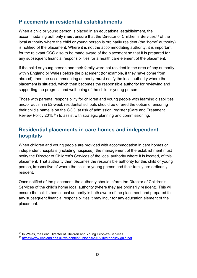#### <span id="page-12-0"></span>**Placements in residential establishments**

When a child or young person is placed in an educational establishment, the accommodating authority **must** ensure that the Director of Children's Services[13](#page-12-2) of the local authority where the child or young person is ordinarily resident (the 'home' authority) is notified of the placement. Where it is not the accommodating authority, it is important for the relevant CCG also to be made aware of the placement so that it is prepared for any subsequent financial responsibilities for a health care element of the placement.

If the child or young person and their family were not resident in the area of any authority within England or Wales before the placement (for example, if they have come from abroad), then the accommodating authority **must** notify the local authority where the placement is situated, which then becomes the responsible authority for reviewing and supporting the progress and well-being of the child or young person.

Those with parental responsibility for children and young people with learning disabilities and/or autism in 52-week residential schools should be offered the option of ensuring their child's name is on the CCG 'at risk of admission' register (Care and Treatment Review Policy 2015<sup>14</sup>) to assist with strategic planning and commissioning.

#### <span id="page-12-1"></span>**Residential placements in care homes and independent hospitals**

When children and young people are provided with accommodation in care homes or independent hospitals (including hospices), the management of the establishment must notify the Director of Children's Services of the local authority where it is located, of this placement. That authority then becomes the responsible authority for this child or young person, irrespective of where the child or young person and their family are ordinarily resident.

Once notified of the placement, the authority should inform the Director of Children's Services of the child's home local authority (where they are ordinarily resident). This will ensure the child's home local authority is both aware of the placement and prepared for any subsequent financial responsibilities it may incur for any education element of the placement.

<span id="page-12-2"></span><sup>&</sup>lt;sup>13</sup> In Wales, the Lead Director of Children and Young People's Services

<span id="page-12-3"></span><sup>14</sup> <https://www.england.nhs.uk/wp-content/uploads/2015/10/ctr-policy-guid.pdf>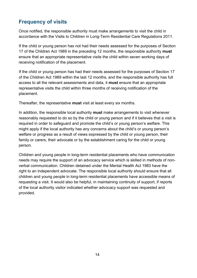#### <span id="page-13-0"></span>**Frequency of visits**

Once notified, the responsible authority must make arrangements to visit the child in accordance with the Visits to Children in Long-Term Residential Care Regulations 2011.

If the child or young person has not had their needs assessed for the purposes of Section 17 of the Children Act 1989 in the preceding 12 months, the responsible authority **must** ensure that an appropriate representative visits the child within seven working days of receiving notification of the placement.

If the child or young person has had their needs assessed for the purposes of Section 17 of the Children Act 1989 within the last 12 months, and the responsible authority has full access to all the relevant assessments and data, it **must** ensure that an appropriate representative visits the child within three months of receiving notification of the placement.

Thereafter, the representative **must** visit at least every six months.

In addition, the responsible local authority **must** make arrangements to visit whenever reasonably requested to do so by the child or young person and if it believes that a visit is required in order to safeguard and promote the child's or young person's welfare. This might apply if the local authority has any concerns about the child's or young person's welfare or progress as a result of views expressed by the child or young person, their family or carers, their advocate or by the establishment caring for the child or young person.

Children and young people in long-term residential placements who have communication needs may require the support of an advocacy service which is skilled in methods of nonverbal communication. Children detained under the Mental Health Act 1983 have the right to an independent advocate. The responsible local authority should ensure that all children and young people in long-term residential placements have accessible means of requesting a visit. It would also be helpful, in maintaining continuity of support, if reports of the local authority visitor indicated whether advocacy support was requested and provided.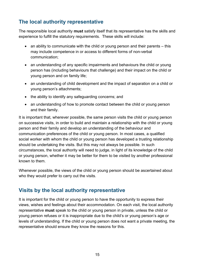#### <span id="page-14-0"></span>**The local authority representative**

The responsible local authority **must** satisfy itself that its representative has the skills and experience to fulfill the statutory requirements. These skills will include:

- an ability to communicate with the child or young person and their parents this may include competence in or access to different forms of non-verbal communication;
- an understanding of any specific impairments and behaviours the child or young person has (including behaviours that challenge) and their impact on the child or young person and on family life;
- an understanding of child development and the impact of separation on a child or young person's attachments;
- the ability to identify any safeguarding concerns; and
- an understanding of how to promote contact between the child or young person and their family.

It is important that, wherever possible, the same person visits the child or young person on successive visits, in order to build and maintain a relationship with the child or young person and their family and develop an understanding of the behaviour and communication preferences of the child or young person. In most cases, a qualified social worker with whom the child or young person has developed a trusting relationship should be undertaking the visits. But this may not always be possible. In such circumstances, the local authority will need to judge, in light of its knowledge of the child or young person, whether it may be better for them to be visited by another professional known to them.

Whenever possible, the views of the child or young person should be ascertained about who they would prefer to carry out the visits.

#### <span id="page-14-1"></span>**Visits by the local authority representative**

It is important for the child or young person to have the opportunity to express their views, wishes and feelings about their accommodation. On each visit, the local authority representative **must** speak to the child or young person in private, unless the child or young person refuses or it is inappropriate due to the child's or young person's age or levels of understanding. If the child or young person does not want a private meeting, the representative should ensure they know the reasons for this.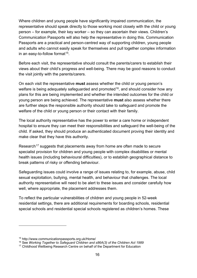Where children and young people have significantly impaired communication, the representative should speak directly to those working most closely with the child or young person – for example, their key worker – so they can ascertain their views. Children's Communication Passports will also help the representative in doing this. Communication Passports are a practical and person-centred way of supporting children, young people and adults who cannot easily speak for themselves and pull together complex information in an easy-to-follow format<sup>15</sup>.

Before each visit, the representative should consult the parents/carers to establish their views about their child's progress and well-being. There may be good reasons to conduct the visit jointly with the parents/carers.

On each visit the representative **must** assess whether the child or young person's welfare is being adequately safeguarded and promoted<sup>16</sup>, and should consider how any plans for this are being implemented and whether the intended outcomes for the child or young person are being achieved. The representative **must** also assess whether there are further steps the responsible authority should take to safeguard and promote the welfare of the child or young person or their contact with their family.

The local authority representative has the power to enter a care home or independent hospital to ensure they can meet their responsibilities and safeguard the well-being of the child. If asked, they should produce an authenticated document proving their identity and make clear that they have this authority.

Research<sup>[17](#page-15-2)</sup> suggests that placements away from home are often made to secure specialist provision for children and young people with complex disabilities or mental health issues (including behavioural difficulties), or to establish geographical distance to break patterns of risky or offending behaviour.

Safeguarding issues could involve a range of issues relating to, for example, abuse, child sexual exploitation, bullying, mental health, and behaviour that challenges. The local authority representative will need to be alert to these issues and consider carefully how well, where appropriate, the placement addresses them.

To reflect the particular vulnerabilities of children and young people in 52-week residential settings, there are additional requirements for boarding schools, residential special schools and residential special schools registered as children's homes. These

<span id="page-15-0"></span><sup>&</sup>lt;sup>15</sup> http://www.communicationpassports.org.uk/Home/<br><sup>16</sup> See Working Together to Safeguard Children and s86A(3) of the Children Act 1989

<span id="page-15-2"></span><span id="page-15-1"></span><sup>&</sup>lt;sup>17</sup> Childhood Wellbeing Research Centre on behalf of the Department for Education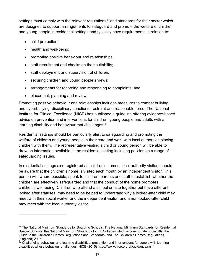settings must comply with the relevant regulations<sup>[18](#page-16-0)</sup> and standards for their sector which are designed to support arrangements to safeguard and promote the welfare of children and young people in residential settings and typically have requirements in relation to:

• child protection;

 $\overline{a}$ 

- health and well-being;
- promoting positive behaviour and relationships;
- staff recruitment and checks on their suitability;
- staff deployment and supervision of children;
- securing children and young people's views;
- arrangements for recording and responding to complaints; and
- placement, planning and review.

Promoting positive behaviour and relationships includes measures to combat bullying and cyberbullying, disciplinary sanctions, restraint and reasonable force. The National Institute for Clinical Excellence (NICE) has published a guideline offering evidence-based advice on prevention and interventions for children, young people and adults with a learning disability and behaviour that challenges.<sup>[19](#page-16-1)</sup>

Residential settings should be particularly alert to safeguarding and promoting the welfare of children and young people in their care and work with local authorities placing children with them. The representative visiting a child or young person will be able to draw on information available in the residential setting including policies on a range of safeguarding issues.

In residential settings also registered as children's homes, local authority visitors should be aware that the children's home is visited each month by an independent visitor. This person will, where possible, speak to children, parents and staff to establish whether the children are effectively safeguarded and that the conduct of the home promotes children's well-being. Children who attend a school on-site together but have different looked after statuses, may need to be helped to understand why a looked-after child may meet with their social worker and the independent visitor, and a non-looked-after child may meet with the local authority visitor.

<span id="page-16-0"></span><sup>&</sup>lt;sup>18</sup> The National Minimum Standards for Boarding Schools; The National Minimum Standards for Residential Special Schools; the National Minimum Standards for FE Colleges which accommodate under 18s; the Guide to the Children's Homes Regulations and Standards; and The Children's Homes Regulations (England) 2015.

<span id="page-16-1"></span><sup>&</sup>lt;sup>19</sup> Challenging behaviour and learning disabilities: prevention and interventions for people with learning disabilities whose behaviour challenges, NICE (2015) https://www.nice.org.uk/guidance/ng11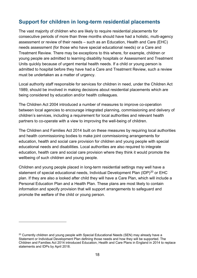#### <span id="page-17-0"></span>**Support for children in long-term residential placements**

The vast majority of children who are likely to require residential placements for consecutive periods of more than three months should have had a holistic, multi-agency assessment or review of their needs – such as an Education, Health and Care (EHC) needs assessment (for those who have special educational needs) or a Care and Treatment Review. There may be exceptions to this where, for example, children or young people are admitted to learning disability hospitals or Assessment and Treatment Units quickly because of urgent mental health needs. If a child or young person is admitted to hospital before they have had a Care and Treatment Review, such a review must be undertaken as a matter of urgency.

Local authority staff responsible for services for children in need, under the Children Act 1989, should be involved in making decisions about residential placements which are being considered by education and/or health colleagues.

The Children Act 2004 introduced a number of measures to improve co-operation between local agencies to encourage integrated planning, commissioning and delivery of children's services, including a requirement for local authorities and relevant health partners to co-operate with a view to improving the well-being of children.

The Children and Families Act 2014 built on these measures by requiring local authorities and health commissioning bodies to make joint commissioning arrangements for education, health and social care provision for children and young people with special educational needs and disabilities. Local authorities are also required to integrate education, health care and social care provision where they think it would promote the wellbeing of such children and young people.

Children and young people placed in long-term residential settings may well have a statement of special educational needs, Individual Development Plan (IDP)<sup>[20](#page-17-1)</sup> or EHC plan. If they are also a looked after child they will have a Care Plan, which will include a Personal Education Plan and a Health Plan. These plans are most likely to contain information and specify provision that will support arrangements to safeguard and promote the welfare of the child or young person.

<span id="page-17-1"></span><sup>&</sup>lt;sup>20</sup> Currently children and young people with Special Educational Needs (SEN) may already have a Statement or Individual Development Plan defining those needs and how they will be supported. The Children and Families Act 2014 introduced Education, Health and Care Plans in England in 2014 to replace statements and IDPs by April 2018.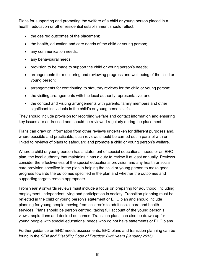Plans for supporting and promoting the welfare of a child or young person placed in a health, education or other residential establishment should reflect:

- the desired outcomes of the placement;
- the health, education and care needs of the child or young person;
- any communication needs;
- any behavioural needs;
- provision to be made to support the child or young person's needs:
- arrangements for monitoring and reviewing progress and well-being of the child or young person;
- arrangements for contributing to statutory reviews for the child or young person;
- the visiting arrangements with the local authority representative; and
- the contact and visiting arrangements with parents, family members and other significant individuals in the child's or young person's life.

They should include provision for recording welfare and contact information and ensuring key issues are addressed and should be reviewed regularly during the placement.

Plans can draw on information from other reviews undertaken for different purposes and, where possible and practicable, such reviews should be carried out in parallel with or linked to reviews of plans to safeguard and promote a child or young person's welfare.

Where a child or young person has a statement of special educational needs or an EHC plan, the local authority that maintains it has a duty to review it at least annually. Reviews consider the effectiveness of the special educational provision and any health or social care provision specified in the plan in helping the child or young person to make good progress towards the outcomes specified in the plan and whether the outcomes and supporting targets remain appropriate.

From Year 9 onwards reviews must include a focus on preparing for adulthood, including employment, independent living and participation in society. Transition planning must be reflected in the child or young person's statement or EHC plan and should include planning for young people moving from children's to adult social care and health services. Plans should be person centred, taking full account of the young person's views, aspirations and desired outcomes. Transition plans can also be drawn up for young people with special educational needs who do not have statements or EHC plans.

Further guidance on EHC needs assessments, EHC plans and transition planning can be found in the *SEN and Disability Code of Practice: 0-25 years (January 2015).*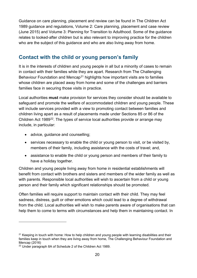Guidance on care planning, placement and review can be found in The Children Act 1989 guidance and regulations, Volume 2: Care planning, placement and case review (June 2015) and Volume 3: Planning for Transition to Adulthood. Some of the guidance relates to looked-after children but is also relevant to improving practice for the children who are the subject of this guidance and who are also living away from home.

#### <span id="page-19-0"></span>**Contact with the child or young person's family**

It is in the interests of children and young people in all but a minority of cases to remain in contact with their families while they are apart. Research from The Challenging Behaviour Foundation and Mencap<sup>[21](#page-19-1)</sup> highlights how important visits are to families whose children are placed away from home and some of the challenges and barriers families face in securing those visits in practice.

Local authorities **must** make provision for services they consider should be available to safeguard and promote the welfare of accommodated children and young people. These will include services provided with a view to promoting contact between families and children living apart as a result of placements made under Sections 85 or 86 of the Children Act 1989<sup>22</sup>. The types of service local authorities provide or arrange may include, in particular:

- advice, guidance and counselling;
- services necessary to enable the child or young person to visit, or be visited by, members of their family, including assistance with the costs of travel; and,
- assistance to enable the child or young person and members of their family to have a holiday together.

Children and young people living away from home in residential establishments will benefit from contact with brothers and sisters and members of the wider family as well as with parents. Responsible local authorities will wish to ascertain from a child or young person and their family which significant relationships should be promoted.

Often families will require support to maintain contact with their child. They may feel sadness, distress, guilt or other emotions which could lead to a degree of withdrawal from the child. Local authorities will wish to make parents aware of organisations that can help them to come to terms with circumstances and help them in maintaining contact. In

<span id="page-19-1"></span><sup>&</sup>lt;sup>21</sup> Keeping in touch with home: How to help children and young people with learning disabilities and their families keep in touch when they are living away from home, The Challenging Behaviour Foundation and Mencap (2016)

<span id="page-19-2"></span><sup>&</sup>lt;sup>22</sup> Under paragraph 8A of Schedule 2 of the Children Act 1989.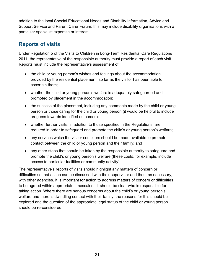addition to the local Special Educational Needs and Disability Information, Advice and Support Service and Parent Carer Forum, this may include disability organisations with a particular specialist expertise or interest.

#### <span id="page-20-0"></span>**Reports of visits**

Under Regulation 5 of the Visits to Children in Long-Term Residential Care Regulations 2011, the representative of the responsible authority must provide a report of each visit. Reports must include the representative's assessment of:

- the child or young person's wishes and feelings about the accommodation provided by the residential placement, so far as the visitor has been able to ascertain them;
- whether the child or young person's welfare is adequately safeguarded and promoted by placement in the accommodation;
- the success of the placement, including any comments made by the child or young person or those caring for the child or young person (it would be helpful to include progress towards identified outcomes);
- whether further visits, in addition to those specified in the Regulations, are required in order to safeguard and promote the child's or young person's welfare;
- any services which the visitor considers should be made available to promote contact between the child or young person and their family; and
- any other steps that should be taken by the responsible authority to safeguard and promote the child's or young person's welfare (these could, for example, include access to particular facilities or community activity).

The representative's reports of visits should highlight any matters of concern or difficulties so that action can be discussed with their supervisor and then, as necessary, with other agencies. It is important for action to address matters of concern or difficulties to be agreed within appropriate timescales. It should be clear who is responsible for taking action. Where there are serious concerns about the child's or young person's welfare and there is dwindling contact with their family, the reasons for this should be explored and the question of the appropriate legal status of the child or young person should be re-considered.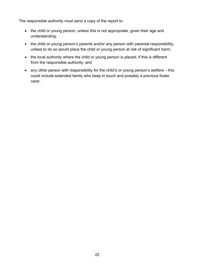The responsible authority must send a copy of the report to:

- the child or young person, unless this is not appropriate, given their age and understanding;
- the child or young person's parents and/or any person with parental responsibility, unless to do so would place the child or young person at risk of significant harm;
- the local authority where the child or young person is placed, if this is different from the responsible authority; and
- any other person with responsibility for the child's or young person's welfare this could include extended family who keep in touch and possibly a previous foster carer.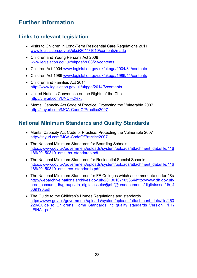# <span id="page-22-0"></span>**Further information**

#### <span id="page-22-1"></span>**Links to relevant legislation**

- Visits to Children in Long-Term Residential Care Regulations 2011 [www.legislation.gov.uk/uksi/2011/1010/contents/made](http://www.legislation.gov.uk/uksi/2011/1010/contents/made)
- Children and Young Persons Act 2008 [www.legislation.gov.uk/ukpga/2008/23/contents](http://www.legislation.gov.uk/ukpga/2008/23/contents)
- Children Act 2004 [www.legislation.gov.uk/ukpga/2004/31/contents](http://www.legislation.gov.uk/ukpga/2004/31/contents)
- Children Act 1989 [www.legislation.gov.uk/ukpga/1989/41/contents](http://www.legislation.gov.uk/ukpga/1989/41/contents)
- Children and Families Act 2014 <http://www.legislation.gov.uk/ukpga/2014/6/contents>
- United Nations Convention on the Rights of the Child <http://tinyurl.com/UNCRCtext>
- Mental Capacity Act Code of Practice: Protecting the Vulnerable 2007 <http://tinyurl.com/MCA-CodeOfPractice2007>

#### <span id="page-22-2"></span>**National Minimum Standards and Quality Standards**

- Mental Capacity Act Code of Practice: Protecting the Vulnerable 2007 <http://tinyurl.com/MCA-CodeOfPractice2007>
- The National Minimum Standards for Boarding Schools [https://www.gov.uk/government/uploads/system/uploads/attachment\\_data/file/416](https://www.gov.uk/government/uploads/system/uploads/attachment_data/file/416186/20150319_nms_bs_standards.pdf) [186/20150319\\_nms\\_bs\\_standards.pdf](https://www.gov.uk/government/uploads/system/uploads/attachment_data/file/416186/20150319_nms_bs_standards.pdf)
- The National Minimum Standards for Residential Special Schools [https://www.gov.uk/government/uploads/system/uploads/attachment\\_data/file/416](https://www.gov.uk/government/uploads/system/uploads/attachment_data/file/416188/20150319_nms_rss_standards.pdf) [188/20150319\\_nms\\_rss\\_standards.pdf](https://www.gov.uk/government/uploads/system/uploads/attachment_data/file/416188/20150319_nms_rss_standards.pdf)
- The National Minimum Standards for FE Colleges which accommodate under 18s [http://webarchive.nationalarchives.gov.uk/20130107105354/http://www.dh.gov.uk/](http://webarchive.nationalarchives.gov.uk/20130107105354/http:/www.dh.gov.uk/prod_consum_dh/groups/dh_digitalassets/@dh/@en/documents/digitalasset/dh_4069190.pdf) [prod\\_consum\\_dh/groups/dh\\_digitalassets/@dh/@en/documents/digitalasset/dh\\_4](http://webarchive.nationalarchives.gov.uk/20130107105354/http:/www.dh.gov.uk/prod_consum_dh/groups/dh_digitalassets/@dh/@en/documents/digitalasset/dh_4069190.pdf) [069190.pdf](http://webarchive.nationalarchives.gov.uk/20130107105354/http:/www.dh.gov.uk/prod_consum_dh/groups/dh_digitalassets/@dh/@en/documents/digitalasset/dh_4069190.pdf)
- The Guide to the Children's Homes Regulations and standards [https://www.gov.uk/government/uploads/system/uploads/attachment\\_data/file/463](https://www.gov.uk/government/uploads/system/uploads/attachment_data/file/463220/Guide_to_Childrens_Home_Standards_inc_quality_standards_Version__1.17_FINAL.pdf) 220/Guide to Childrens Home Standards inc quality standards Version 1.17 [\\_FINAL.pdf](https://www.gov.uk/government/uploads/system/uploads/attachment_data/file/463220/Guide_to_Childrens_Home_Standards_inc_quality_standards_Version__1.17_FINAL.pdf)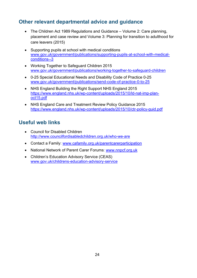#### <span id="page-23-0"></span>**Other relevant departmental advice and guidance**

- The Children Act 1989 Regulations and Guidance Volume 2: Care planning, placement and case review and Volume 3: Planning for transition to adulthood for care leavers (2015)
- Supporting pupils at school with medical conditions [www.gov.uk/government/publications/supporting-pupils-at-school-with-medical](http://www.gov.uk/government/publications/supporting-pupils-at-school-with-medical-conditions--3)[conditions--3](http://www.gov.uk/government/publications/supporting-pupils-at-school-with-medical-conditions--3)
- Working Together to Safeguard Children 2015 [www.gov.uk/government/publications/working-together-to-safeguard-children](http://www.gov.uk/government/publications/working-together-to-safeguard-children)
- 0-25 Special Educational Needs and Disability Code of Practice 0-25 [www.gov.uk/government/publications/send-code-of-practice-0-to-25](http://www.gov.uk/government/publications/send-code-of-practice-0-to-25)
- NHS England Building the Right Support NHS England 2015 [https://www.england.nhs.uk/wp-content/uploads/2015/10/ld-nat-imp-plan](https://www.england.nhs.uk/wp-content/uploads/2015/10/ld-nat-imp-plan-oct15.pdf)[oct15.pdf](https://www.england.nhs.uk/wp-content/uploads/2015/10/ld-nat-imp-plan-oct15.pdf)
- NHS England Care and Treatment Review Policy Guidance 2015 <https://www.england.nhs.uk/wp-content/uploads/2015/10/ctr-policy-guid.pdf>

#### <span id="page-23-1"></span>**Useful web links**

- Council for Disabled Children <http://www.councilfordisabledchildren.org.uk/who-we-are>
- Contact a Family: www.cafamily.org.uk/parentcarerparticipation
- National Network of Parent Carer Forums: [www.nnpcf.org.uk](http://www.nnpcf.org.uk/)
- Children's Education Advisory Service (CEAS) [www.gov.uk/childrens-education-advisory-service](http://www.gov.uk/childrens-education-advisory-service)